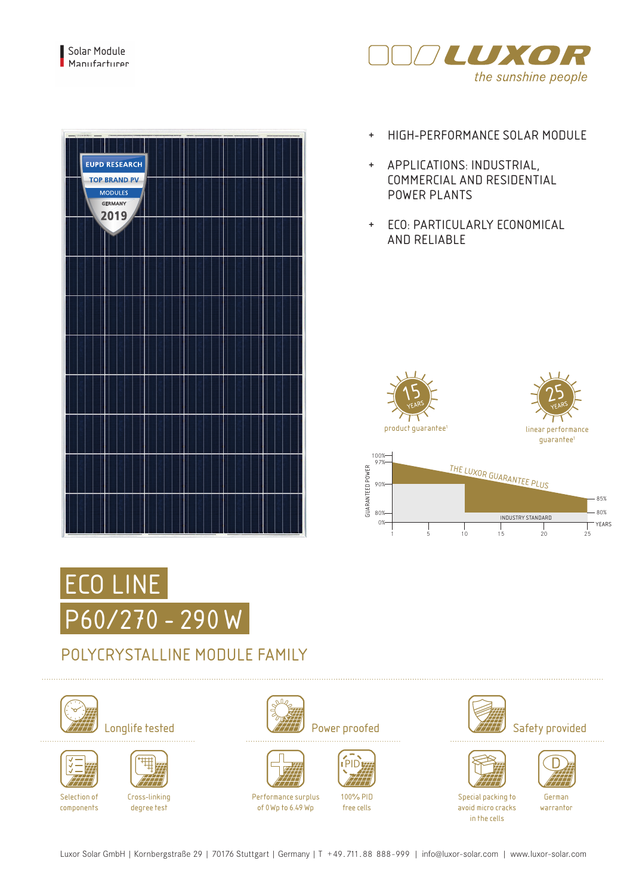

- + HIGH-PERFORMANCE SOLAR MODULE
- + APPLICATIONS: INDUSTRIAL, COMMERCIAL AND RESIDENTIAL POWER PLANTS
- + ECO: PARTICULARLY ECONOMICAL AND RELIABLE



1 5 10 15 20 25

INDUSTRY STANDARD 0%



**EUPD RESEARCH TOP BRAND PV MODULES** 

2019



# POLYCRYSTALLINE MODULE FAMILY







components



Cross-linking degree test





80%











German warrantor YEARS

T

Performance surplus of 0Wp to 6.49 Wp

100% PID free cells

Luxor Solar GmbH | Kornbergstraße 29 | 70176 Stuttgart | Germany | T +49.711.88 888 -999 | info@luxor-solar.com | www.luxor-solar.com